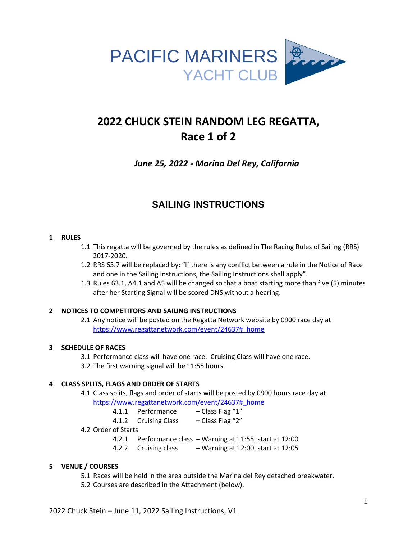

# **2022 CHUCK STEIN RANDOM LEG REGATTA, Race 1 of 2**

## *June 25, 2022 - Marina Del Rey, California*

## **SAILING INSTRUCTIONS**

### **1 RULES**

- 1.1 This regatta will be governed by the rules as defined in The Racing Rules of Sailing (RRS) 2017-2020.
- 1.2 RRS 63.7 will be replaced by: "If there is any conflict between a rule in the Notice of Race and one in the Sailing instructions, the Sailing Instructions shall apply".
- 1.3 Rules 63.1, A4.1 and A5 will be changed so that a boat starting more than five (5) minutes after her Starting Signal will be scored DNS without a hearing.

## **2 NOTICES TO COMPETITORS AND SAILING INSTRUCTIONS**

2.1 Any notice will be posted on the Regatta Network website by 0900 race day at [https://www.regattanetwork.com/event/24637#\\_home](https://www.regattanetwork.com/event/24637#_home)

## **3 SCHEDULE OF RACES**

- 3.1 Performance class will have one race. Cruising Class will have one race.
- 3.2 The first warning signal will be 11:55 hours.

## **4 CLASS SPLITS, FLAGS AND ORDER OF STARTS**

4.1 Class splits, flags and order of starts will be posted by 0900 hours race day at [https://www.regattanetwork.com/event/24637#\\_home](https://www.regattanetwork.com/event/24637#_home)

| 4.1.1 Performance   | - Class Flag "1"    |
|---------------------|---------------------|
| 110 Capitalis Class | $C222$ $C22$ $(12)$ |

- 4.1.2 Cruising Class Class Flag "2"
- 4.2 Order of Starts
	- 4.2.1 Performance class Warning at 11:55, start at 12:00
	- 4.2.2 Cruising class Warning at 12:00, start at 12:05

## **5 VENUE / COURSES**

- 5.1 Races will be held in the area outside the Marina del Rey detached breakwater.
- 5.2 Courses are described in the Attachment (below).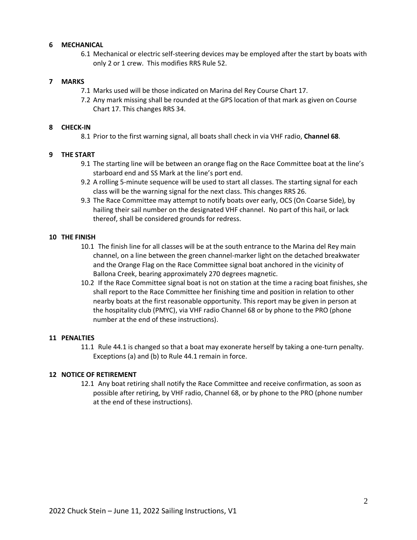#### **6 MECHANICAL**

6.1 Mechanical or electric self-steering devices may be employed after the start by boats with only 2 or 1 crew. This modifies RRS Rule 52.

#### **7 MARKS**

- 7.1 Marks used will be those indicated on Marina del Rey Course Chart 17.
- 7.2 Any mark missing shall be rounded at the GPS location of that mark as given on Course Chart 17. This changes RRS 34.

#### **8 CHECK-IN**

8.1 Prior to the first warning signal, all boats shall check in via VHF radio, **Channel 68**.

#### **9 THE START**

- 9.1 The starting line will be between an orange flag on the Race Committee boat at the line's starboard end and SS Mark at the line's port end.
- 9.2 A rolling 5-minute sequence will be used to start all classes. The starting signal for each class will be the warning signal for the next class. This changes RRS 26.
- 9.3 The Race Committee may attempt to notify boats over early, OCS (On Coarse Side), by hailing their sail number on the designated VHF channel. No part of this hail, or lack thereof, shall be considered grounds for redress.

#### **10 THE FINISH**

- 10.1 The finish line for all classes will be at the south entrance to the Marina del Rey main channel, on a line between the green channel-marker light on the detached breakwater and the Orange Flag on the Race Committee signal boat anchored in the vicinity of Ballona Creek, bearing approximately 270 degrees magnetic.
- 10.2 If the Race Committee signal boat is not on station at the time a racing boat finishes, she shall report to the Race Committee her finishing time and position in relation to other nearby boats at the first reasonable opportunity. This report may be given in person at the hospitality club (PMYC), via VHF radio Channel 68 or by phone to the PRO (phone number at the end of these instructions).

#### **11 PENALTIES**

11.1 Rule 44.1 is changed so that a boat may exonerate herself by taking a one-turn penalty. Exceptions (a) and (b) to Rule 44.1 remain in force.

#### **12 NOTICE OF RETIREMENT**

12.1 Any boat retiring shall notify the Race Committee and receive confirmation, as soon as possible after retiring, by VHF radio, Channel 68, or by phone to the PRO (phone number at the end of these instructions).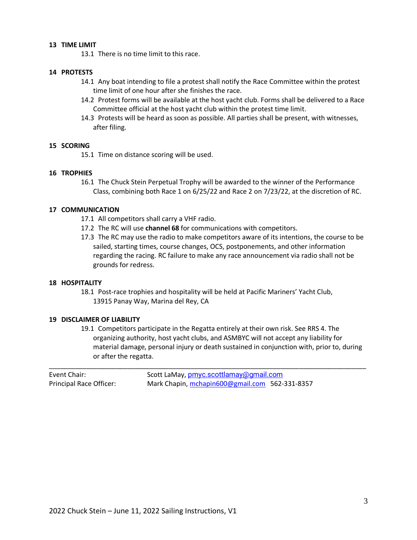#### **13 TIME LIMIT**

13.1 There is no time limit to this race.

#### **14 PROTESTS**

- 14.1 Any boat intending to file a protest shall notify the Race Committee within the protest time limit of one hour after she finishes the race.
- 14.2 Protest forms will be available at the host yacht club. Forms shall be delivered to a Race Committee official at the host yacht club within the protest time limit.
- 14.3 Protests will be heard as soon as possible. All parties shall be present, with witnesses, after filing.

#### **15 SCORING**

15.1 Time on distance scoring will be used.

#### **16 TROPHIES**

16.1 The Chuck Stein Perpetual Trophy will be awarded to the winner of the Performance Class, combining both Race 1 on 6/25/22 and Race 2 on 7/23/22, at the discretion of RC.

#### **17 COMMUNICATION**

- 17.1 All competitors shall carry a VHF radio.
- 17.2 The RC will use **channel 68** for communications with competitors.
- 17.3 The RC may use the radio to make competitors aware of its intentions, the course to be sailed, starting times, course changes, OCS, postponements, and other information regarding the racing. RC failure to make any race announcement via radio shall not be grounds for redress.

#### **18 HOSPITALITY**

18.1 Post-race trophies and hospitality will be held at Pacific Mariners' Yacht Club, 13915 Panay Way, Marina del Rey, CA

#### **19 DISCLAIMER OF LIABILITY**

19.1 Competitors participate in the Regatta entirely at their own risk. See RRS 4. The organizing authority, host yacht clubs, and ASMBYC will not accept any liability for material damage, personal injury or death sustained in conjunction with, prior to, during or after the regatta.

| Event Chair:            | Scott LaMay, pmyc.scottlamay@gmail.com         |
|-------------------------|------------------------------------------------|
| Principal Race Officer: | Mark Chapin, mchapin600@gmail.com 562-331-8357 |